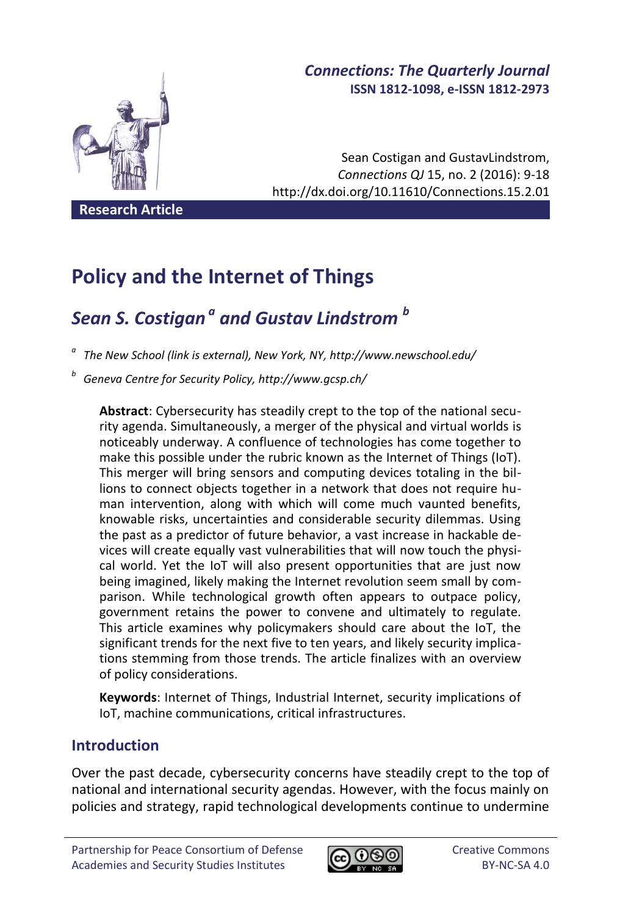# *Connections: The Quarterly Journal* **ISSN 1812-1098, e-ISSN 1812-2973**

Sean Costigan and GustavLindstrom, *Connections QJ* 15, no. 2 (2016): 9-18 http://dx.doi.org/10.11610/Connections.15.2.01

**Research Article**

# **Policy and the Internet of Things**

# *Sean S. Costigan <sup>a</sup> and Gustav Lindstrom <sup>b</sup>*

*a The New School (link is external), New York, NY, http://www.newschool.edu/*

*b Geneva Centre for Security Policy, http://www.gcsp.ch/*

**Abstract**: Cybersecurity has steadily crept to the top of the national security agenda. Simultaneously, a merger of the physical and virtual worlds is noticeably underway. A confluence of technologies has come together to make this possible under the rubric known as the Internet of Things (IoT). This merger will bring sensors and computing devices totaling in the billions to connect objects together in a network that does not require human intervention, along with which will come much vaunted benefits, knowable risks, uncertainties and considerable security dilemmas. Using the past as a predictor of future behavior, a vast increase in hackable devices will create equally vast vulnerabilities that will now touch the physical world. Yet the IoT will also present opportunities that are just now being imagined, likely making the Internet revolution seem small by comparison. While technological growth often appears to outpace policy, government retains the power to convene and ultimately to regulate. This article examines why policymakers should care about the IoT, the significant trends for the next five to ten years, and likely security implications stemming from those trends. The article finalizes with an overview of policy considerations.

**Keywords**: Internet of Things, Industrial Internet, security implications of IoT, machine communications, critical infrastructures.

# **Introduction**

Over the past decade, cybersecurity concerns have steadily crept to the top of national and international security agendas. However, with the focus mainly on policies and strategy, rapid technological developments continue to undermine

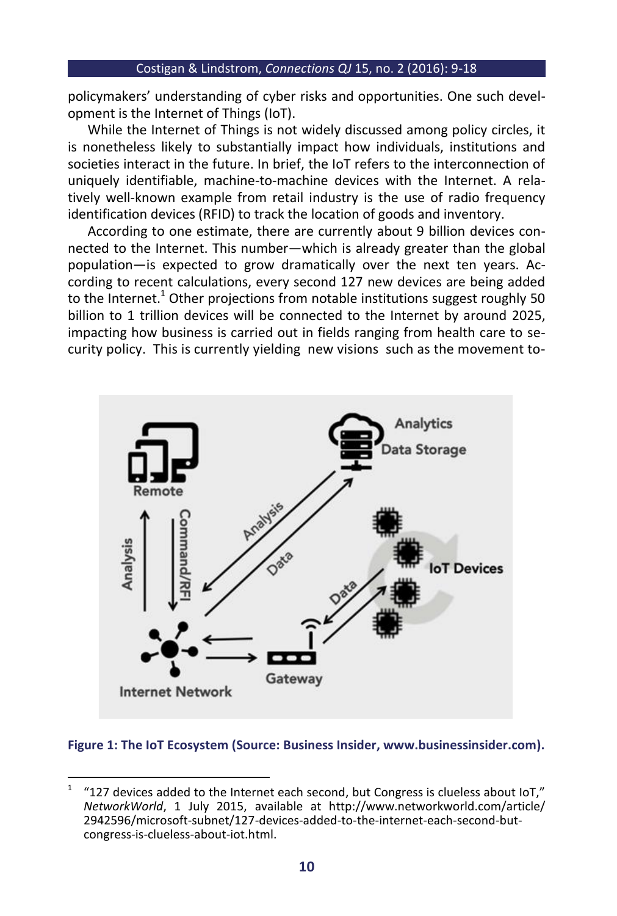#### Costigan & Lindstrom, *Connections QJ* 15, no. 2 (2016): 9-18

policymakers' understanding of cyber risks and opportunities. One such development is the Internet of Things (IoT).

While the Internet of Things is not widely discussed among policy circles, it is nonetheless likely to substantially impact how individuals, institutions and societies interact in the future. In brief, the IoT refers to the interconnection of uniquely identifiable, machine-to-machine devices with the Internet. A relatively well-known example from retail industry is the use of radio frequency identification devices (RFID) to track the location of goods and inventory.

According to one estimate, there are currently about 9 billion devices connected to the Internet. This number—which is already greater than the global population—is expected to grow dramatically over the next ten years. According to recent calculations, every second 127 new devices are being added to the Internet.<sup>1</sup> Other projections from notable institutions suggest roughly 50 billion to 1 trillion devices will be connected to the Internet by around 2025, impacting how business is carried out in fields ranging from health care to security policy. This is currently yielding new visions such as the movement to-



#### **Figure 1: The IoT Ecosystem (Source: Business Insider, www.businessinsider.com).**

 $\frac{1}{1}$ "127 devices added to the Internet each second, but Congress is clueless about IoT," *NetworkWorld*, 1 July 2015, available at http://www.networkworld.com/article/ 2942596/microsoft-subnet/127-devices-added-to-the-internet-each-second-butcongress-is-clueless-about-iot.html.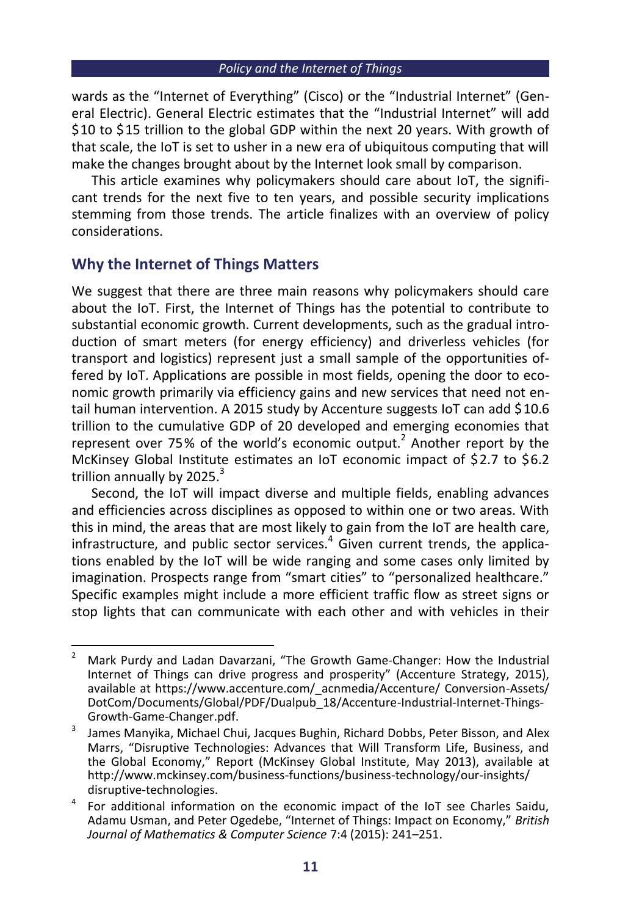wards as the "Internet of Everything" (Cisco) or the "Industrial Internet" (General Electric). General Electric estimates that the "Industrial Internet" will add \$10 to \$15 trillion to the global GDP within the next 20 years. With growth of that scale, the IoT is set to usher in a new era of ubiquitous computing that will make the changes brought about by the Internet look small by comparison.

This article examines why policymakers should care about IoT, the significant trends for the next five to ten years, and possible security implications stemming from those trends. The article finalizes with an overview of policy considerations.

# **Why the Internet of Things Matters**

We suggest that there are three main reasons why policymakers should care about the IoT. First, the Internet of Things has the potential to contribute to substantial economic growth. Current developments, such as the gradual introduction of smart meters (for energy efficiency) and driverless vehicles (for transport and logistics) represent just a small sample of the opportunities offered by IoT. Applications are possible in most fields, opening the door to economic growth primarily via efficiency gains and new services that need not entail human intervention. A 2015 study by Accenture suggests IoT can add \$10.6 trillion to the cumulative GDP of 20 developed and emerging economies that represent over 75% of the world's economic output. $^2$  Another report by the McKinsey Global Institute estimates an IoT economic impact of \$2.7 to \$6.2 trillion annually by 2025. $3$ 

Second, the IoT will impact diverse and multiple fields, enabling advances and efficiencies across disciplines as opposed to within one or two areas. With this in mind, the areas that are most likely to gain from the IoT are health care, infrastructure, and public sector services.<sup>4</sup> Given current trends, the applications enabled by the IoT will be wide ranging and some cases only limited by imagination. Prospects range from "smart cities" to "personalized healthcare." Specific examples might include a more efficient traffic flow as street signs or stop lights that can communicate with each other and with vehicles in their

 $\overline{a}$ <sup>2</sup> Mark Purdy and Ladan Davarzani, "The Growth Game-Changer: How the Industrial Internet of Things can drive progress and prosperity" (Accenture Strategy, 2015), available at https://www.accenture.com/\_acnmedia/Accenture/ Conversion-Assets/ DotCom/Documents/Global/PDF/Dualpub\_18/Accenture-Industrial-Internet-Things-Growth-Game-Changer.pdf.

<sup>3</sup> James Manyika, Michael Chui, Jacques Bughin, Richard Dobbs, Peter Bisson, and Alex Marrs, "Disruptive Technologies: Advances that Will Transform Life, Business, and the Global Economy," Report (McKinsey Global Institute, May 2013), available at http://www.mckinsey.com/business-functions/business-technology/our-insights/ disruptive-technologies.

<sup>4</sup> For additional information on the economic impact of the IoT see Charles Saidu, Adamu Usman, and Peter Ogedebe, "Internet of Things: Impact on Economy," *British Journal of Mathematics & Computer Science* 7:4 (2015): 241–251.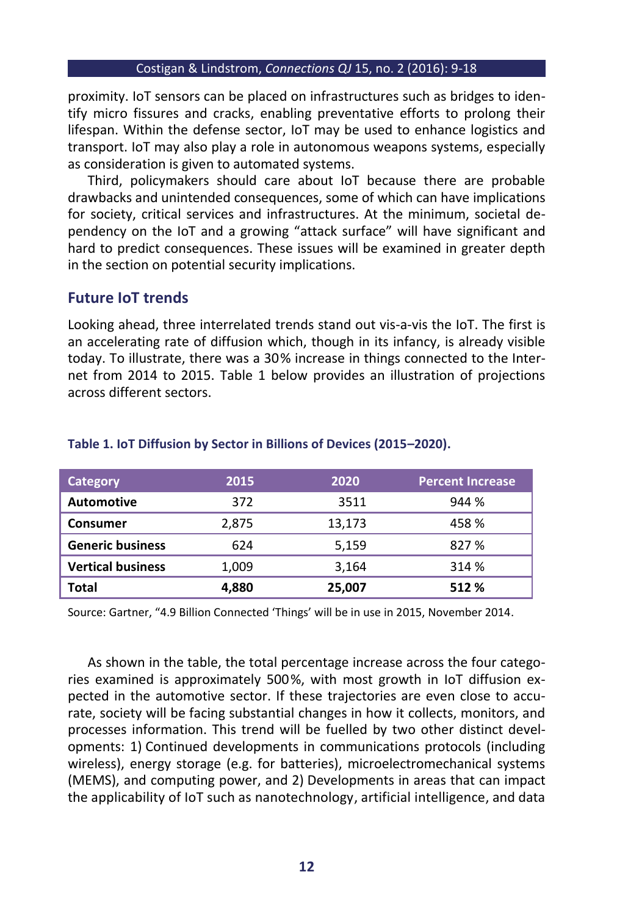#### Costigan & Lindstrom, *Connections QJ* 15, no. 2 (2016): 9-18

proximity. IoT sensors can be placed on infrastructures such as bridges to identify micro fissures and cracks, enabling preventative efforts to prolong their lifespan. Within the defense sector, IoT may be used to enhance logistics and transport. IoT may also play a role in autonomous weapons systems, especially as consideration is given to automated systems.

Third, policymakers should care about IoT because there are probable drawbacks and unintended consequences, some of which can have implications for society, critical services and infrastructures. At the minimum, societal dependency on the IoT and a growing "attack surface" will have significant and hard to predict consequences. These issues will be examined in greater depth in the section on potential security implications.

## **Future IoT trends**

Looking ahead, three interrelated trends stand out vis-a-vis the IoT. The first is an accelerating rate of diffusion which, though in its infancy, is already visible today. To illustrate, there was a 30% increase in things connected to the Internet from 2014 to 2015. Table 1 below provides an illustration of projections across different sectors.

| Category                 | 2015  | 2020   | <b>Percent Increase</b> |
|--------------------------|-------|--------|-------------------------|
| <b>Automotive</b>        | 372   | 3511   | 944 %                   |
| <b>Consumer</b>          | 2,875 | 13,173 | 458 %                   |
| <b>Generic business</b>  | 624   | 5,159  | 827 %                   |
| <b>Vertical business</b> | 1,009 | 3,164  | 314 %                   |
| Total                    | 4,880 | 25,007 | 512 %                   |

#### **Table 1. IoT Diffusion by Sector in Billions of Devices (2015–2020).**

Source: Gartner, "4.9 Billion Connected 'Things' will be in use in 2015, November 2014.

As shown in the table, the total percentage increase across the four categories examined is approximately 500%, with most growth in IoT diffusion expected in the automotive sector. If these trajectories are even close to accurate, society will be facing substantial changes in how it collects, monitors, and processes information. This trend will be fuelled by two other distinct developments: 1) Continued developments in communications protocols (including wireless), energy storage (e.g. for batteries), microelectromechanical systems (MEMS), and computing power, and 2) Developments in areas that can impact the applicability of IoT such as nanotechnology, artificial intelligence, and data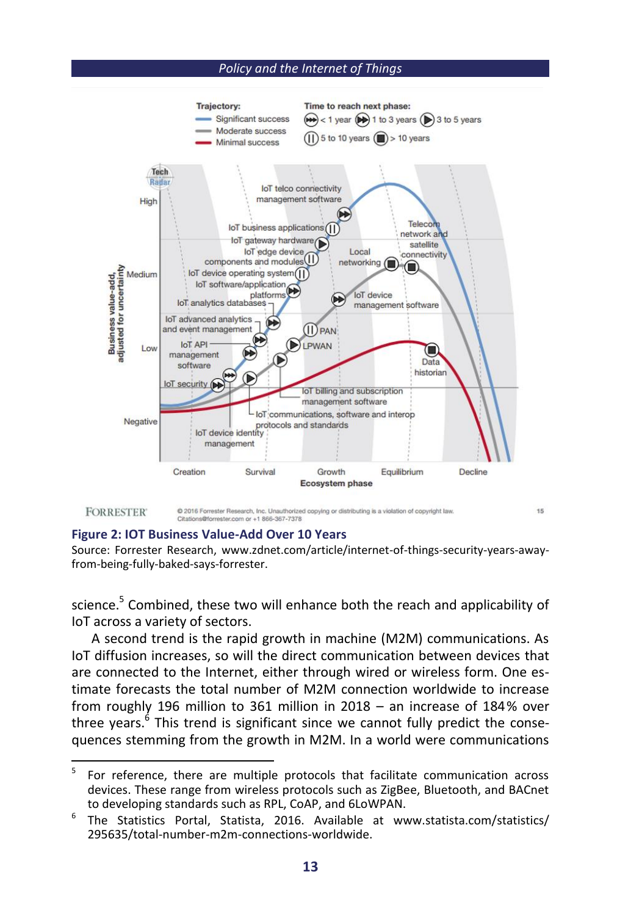#### *Policy and the Internet of Things*



#### **Figure 2: IOT Business Value-Add Over 10 Years**

Source: Forrester Research, www.zdnet.com/article/internet-of-things-security-years-awayfrom-being-fully-baked-says-forrester.

science.<sup>5</sup> Combined, these two will enhance both the reach and applicability of IoT across a variety of sectors.

A second trend is the rapid growth in machine (M2M) communications. As IoT diffusion increases, so will the direct communication between devices that are connected to the Internet, either through wired or wireless form. One estimate forecasts the total number of M2M connection worldwide to increase from roughly 196 million to 361 million in 2018 – an increase of 184% over three years.<sup>6</sup> This trend is significant since we cannot fully predict the consequences stemming from the growth in M2M. In a world were communications

 $\frac{1}{5}$ For reference, there are multiple protocols that facilitate communication across devices. These range from wireless protocols such as ZigBee, Bluetooth, and BACnet to developing standards such as RPL, CoAP, and 6LoWPAN.

<sup>6</sup> The Statistics Portal, Statista, 2016. Available at www.statista.com/statistics/ 295635/total-number-m2m-connections-worldwide.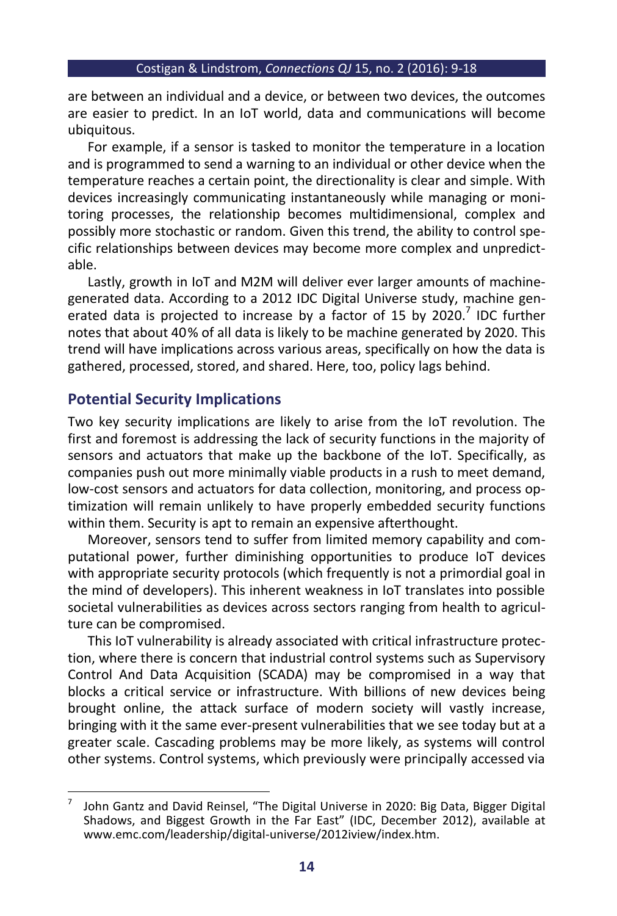are between an individual and a device, or between two devices, the outcomes are easier to predict. In an IoT world, data and communications will become ubiquitous.

For example, if a sensor is tasked to monitor the temperature in a location and is programmed to send a warning to an individual or other device when the temperature reaches a certain point, the directionality is clear and simple. With devices increasingly communicating instantaneously while managing or monitoring processes, the relationship becomes multidimensional, complex and possibly more stochastic or random. Given this trend, the ability to control specific relationships between devices may become more complex and unpredictable.

Lastly, growth in IoT and M2M will deliver ever larger amounts of machinegenerated data. According to a 2012 IDC Digital Universe study, machine generated data is projected to increase by a factor of 15 by 2020.<sup>7</sup> IDC further notes that about 40% of all data is likely to be machine generated by 2020. This trend will have implications across various areas, specifically on how the data is gathered, processed, stored, and shared. Here, too, policy lags behind.

# **Potential Security Implications**

Two key security implications are likely to arise from the IoT revolution. The first and foremost is addressing the lack of security functions in the majority of sensors and actuators that make up the backbone of the IoT. Specifically, as companies push out more minimally viable products in a rush to meet demand, low-cost sensors and actuators for data collection, monitoring, and process optimization will remain unlikely to have properly embedded security functions within them. Security is apt to remain an expensive afterthought.

Moreover, sensors tend to suffer from limited memory capability and computational power, further diminishing opportunities to produce IoT devices with appropriate security protocols (which frequently is not a primordial goal in the mind of developers). This inherent weakness in IoT translates into possible societal vulnerabilities as devices across sectors ranging from health to agriculture can be compromised.

This IoT vulnerability is already associated with critical infrastructure protection, where there is concern that industrial control systems such as Supervisory Control And Data Acquisition (SCADA) may be compromised in a way that blocks a critical service or infrastructure. With billions of new devices being brought online, the attack surface of modern society will vastly increase, bringing with it the same ever-present vulnerabilities that we see today but at a greater scale. Cascading problems may be more likely, as systems will control other systems. Control systems, which previously were principally accessed via

 $\overline{a}$ 7 John Gantz and David Reinsel, "The Digital Universe in 2020: Big Data, Bigger Digital Shadows, and Biggest Growth in the Far East" (IDC, December 2012), available at www.emc.com/leadership/digital-universe/2012iview/index.htm.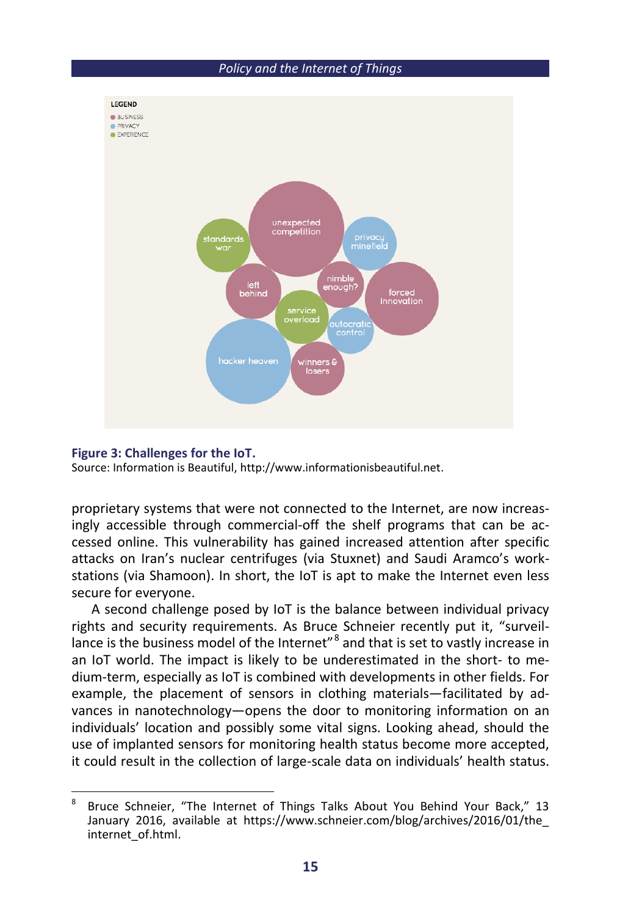

#### **Figure 3: Challenges for the IoT.**

Source: Information is Beautiful, http://www.informationisbeautiful.net.

proprietary systems that were not connected to the Internet, are now increasingly accessible through commercial-off the shelf programs that can be accessed online. This vulnerability has gained increased attention after specific attacks on Iran's nuclear centrifuges (via Stuxnet) and Saudi Aramco's workstations (via Shamoon). In short, the IoT is apt to make the Internet even less secure for everyone.

A second challenge posed by IoT is the balance between individual privacy rights and security requirements. As Bruce Schneier recently put it, "surveillance is the business model of the Internet"<sup>8</sup> and that is set to vastly increase in an IoT world. The impact is likely to be underestimated in the short- to medium-term, especially as IoT is combined with developments in other fields. For example, the placement of sensors in clothing materials—facilitated by advances in nanotechnology—opens the door to monitoring information on an individuals' location and possibly some vital signs. Looking ahead, should the use of implanted sensors for monitoring health status become more accepted, it could result in the collection of large-scale data on individuals' health status.

 8 Bruce Schneier, "The Internet of Things Talks About You Behind Your Back," 13 January 2016, available at https://www.schneier.com/blog/archives/2016/01/the\_ internet\_of.html.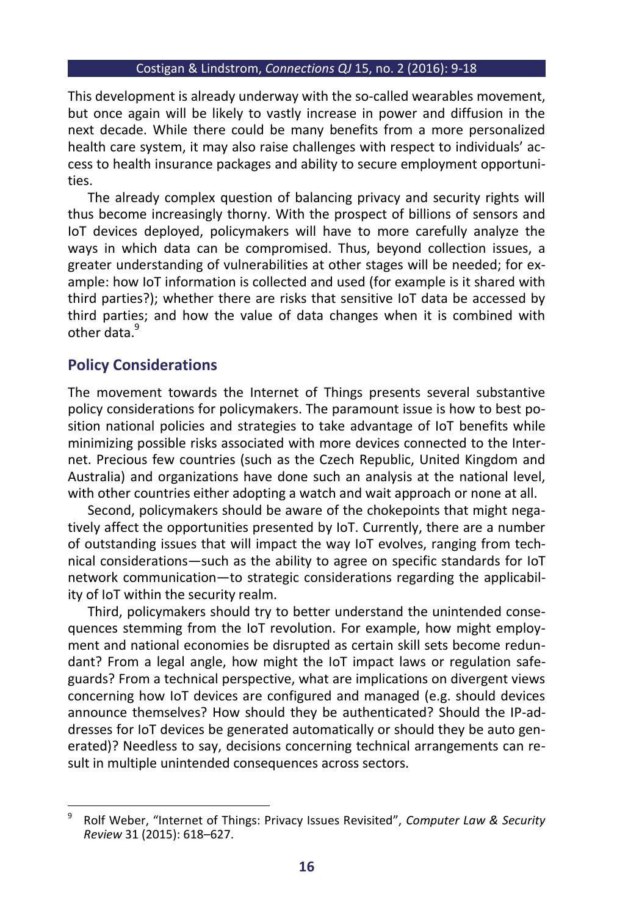#### Costigan & Lindstrom, *Connections QJ* 15, no. 2 (2016): 9-18

This development is already underway with the so-called wearables movement, but once again will be likely to vastly increase in power and diffusion in the next decade. While there could be many benefits from a more personalized health care system, it may also raise challenges with respect to individuals' access to health insurance packages and ability to secure employment opportunities.

The already complex question of balancing privacy and security rights will thus become increasingly thorny. With the prospect of billions of sensors and IoT devices deployed, policymakers will have to more carefully analyze the ways in which data can be compromised. Thus, beyond collection issues, a greater understanding of vulnerabilities at other stages will be needed; for example: how IoT information is collected and used (for example is it shared with third parties?); whether there are risks that sensitive IoT data be accessed by third parties; and how the value of data changes when it is combined with other data<sup>9</sup>

### **Policy Considerations**

 $\overline{a}$ 

The movement towards the Internet of Things presents several substantive policy considerations for policymakers. The paramount issue is how to best position national policies and strategies to take advantage of IoT benefits while minimizing possible risks associated with more devices connected to the Internet. Precious few countries (such as the Czech Republic, United Kingdom and Australia) and organizations have done such an analysis at the national level, with other countries either adopting a watch and wait approach or none at all.

Second, policymakers should be aware of the chokepoints that might negatively affect the opportunities presented by IoT. Currently, there are a number of outstanding issues that will impact the way IoT evolves, ranging from technical considerations—such as the ability to agree on specific standards for IoT network communication—to strategic considerations regarding the applicability of IoT within the security realm.

Third, policymakers should try to better understand the unintended consequences stemming from the IoT revolution. For example, how might employment and national economies be disrupted as certain skill sets become redundant? From a legal angle, how might the IoT impact laws or regulation safeguards? From a technical perspective, what are implications on divergent views concerning how IoT devices are configured and managed (e.g. should devices announce themselves? How should they be authenticated? Should the IP-addresses for IoT devices be generated automatically or should they be auto generated)? Needless to say, decisions concerning technical arrangements can result in multiple unintended consequences across sectors.

<sup>9</sup> Rolf Weber, "Internet of Things: Privacy Issues Revisited", *Computer Law & Security Review* 31 (2015): 618–627.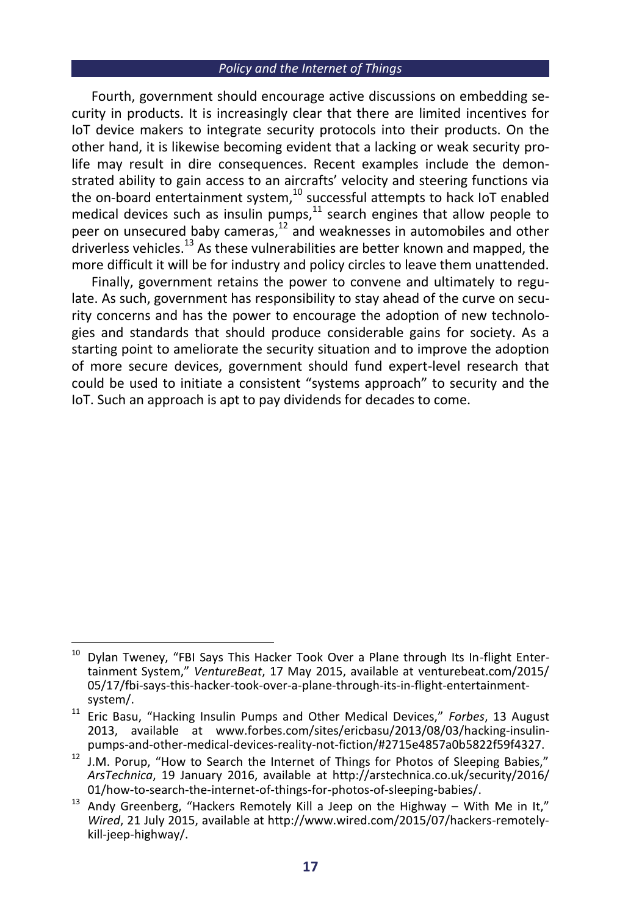#### *Policy and the Internet of Things*

Fourth, government should encourage active discussions on embedding security in products. It is increasingly clear that there are limited incentives for IoT device makers to integrate security protocols into their products. On the other hand, it is likewise becoming evident that a lacking or weak security prolife may result in dire consequences. Recent examples include the demonstrated ability to gain access to an aircrafts' velocity and steering functions via the on-board entertainment system, $^{10}$  successful attempts to hack IoT enabled medical devices such as insulin pumps, $11$  search engines that allow people to peer on unsecured baby cameras,<sup>12</sup> and weaknesses in automobiles and other driverless vehicles.<sup>13</sup> As these vulnerabilities are better known and mapped, the more difficult it will be for industry and policy circles to leave them unattended.

Finally, government retains the power to convene and ultimately to regulate. As such, government has responsibility to stay ahead of the curve on security concerns and has the power to encourage the adoption of new technologies and standards that should produce considerable gains for society. As a starting point to ameliorate the security situation and to improve the adoption of more secure devices, government should fund expert-level research that could be used to initiate a consistent "systems approach" to security and the IoT. Such an approach is apt to pay dividends for decades to come.

 $10$ Dylan Tweney, "FBI Says This Hacker Took Over a Plane through Its In-flight Entertainment System," *VentureBeat*, 17 May 2015, available at venturebeat.com/2015/ 05/17/fbi-says-this-hacker-took-over-a-plane-through-its-in-flight-entertainmentsystem/.

<sup>11</sup> Eric Basu, "Hacking Insulin Pumps and Other Medical Devices," *Forbes*, 13 August 2013, available at www.forbes.com/sites/ericbasu/2013/08/03/hacking-insulinpumps-and-other-medical-devices-reality-not-fiction/#2715e4857a0b5822f59f4327.

<sup>&</sup>lt;sup>12</sup> J.M. Porup, "How to Search the Internet of Things for Photos of Sleeping Babies," *ArsTechnica*, 19 January 2016, available at http://arstechnica.co.uk/security/2016/ 01/how-to-search-the-internet-of-things-for-photos-of-sleeping-babies/.

 $13$  Andy Greenberg, "Hackers Remotely Kill a Jeep on the Highway – With Me in It," *Wired*, 21 July 2015, available at http://www.wired.com/2015/07/hackers-remotelykill-jeep-highway/.